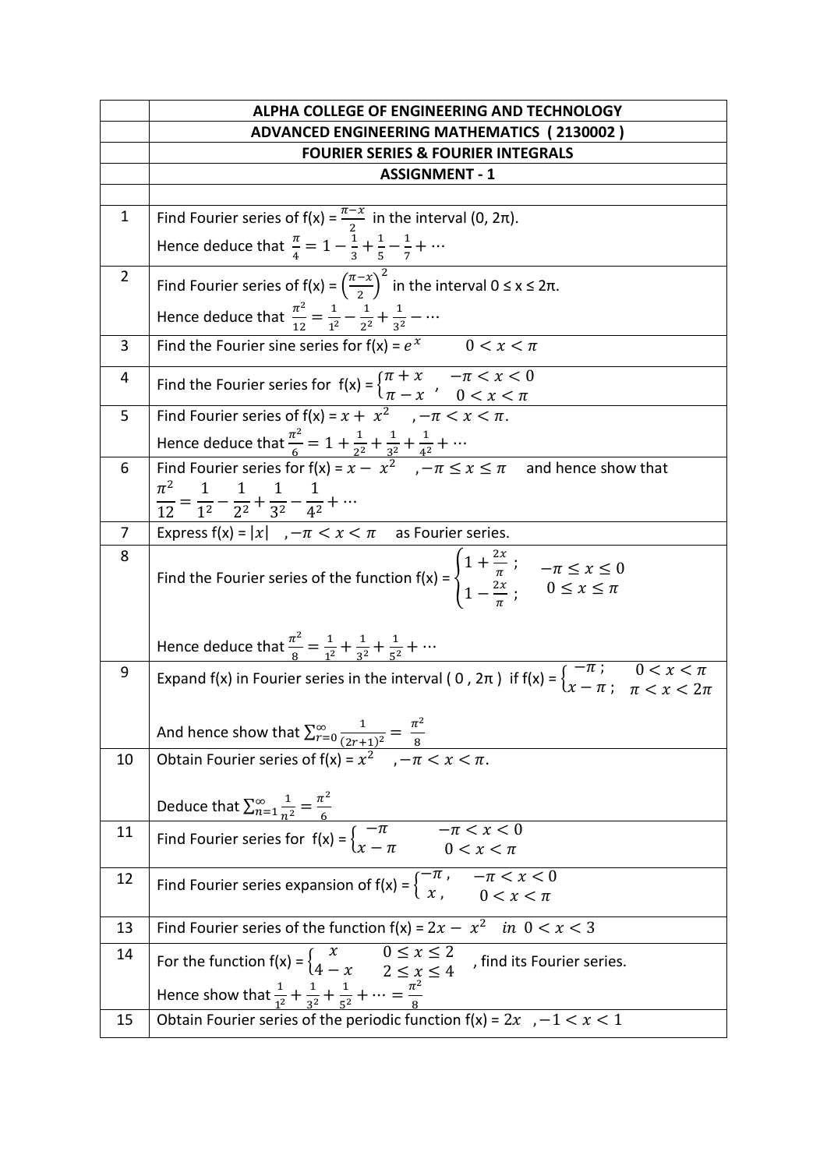|                | ALPHA COLLEGE OF ENGINEERING AND TECHNOLOGY                                                                                                                                             |
|----------------|-----------------------------------------------------------------------------------------------------------------------------------------------------------------------------------------|
|                | <b>ADVANCED ENGINEERING MATHEMATICS (2130002)</b>                                                                                                                                       |
|                | <b>FOURIER SERIES &amp; FOURIER INTEGRALS</b>                                                                                                                                           |
|                | <b>ASSIGNMENT - 1</b>                                                                                                                                                                   |
|                |                                                                                                                                                                                         |
| $\mathbf{1}$   | Find Fourier series of $f(x) = \frac{\pi - x}{2}$ in the interval (0, 2 $\pi$ ).                                                                                                        |
|                | Hence deduce that $\frac{\pi}{4} = 1 - \frac{1}{3} + \frac{1}{5} - \frac{1}{7} + \cdots$                                                                                                |
| $\overline{2}$ | Find Fourier series of $f(x) = \left(\frac{\pi - x}{2}\right)^2$ in the interval $0 \le x \le 2\pi$ .                                                                                   |
|                | Hence deduce that $\frac{\pi^2}{12} = \frac{1}{12} - \frac{1}{2^2} + \frac{1}{2^2} - \cdots$                                                                                            |
| 3              | Find the Fourier sine series for $f(x) = e^x$ 0 < $x < \pi$                                                                                                                             |
| 4              | Find the Fourier series for $f(x) =\begin{cases} \pi + x & -\pi < x < 0 \\ \pi - x & 0 < x < \pi \end{cases}$                                                                           |
| 5              | Find Fourier series of $f(x) = x + x^2$ , $-\pi < x < \pi$ .                                                                                                                            |
|                | Hence deduce that $\frac{\pi^2}{6} = 1 + \frac{1}{2^2} + \frac{1}{3^2} + \frac{1}{4^2} + \cdots$<br>Find Fourier series for $f(x) = x - x^2$ , $-\pi \le x \le \pi$ and hence show that |
| 6              |                                                                                                                                                                                         |
|                | $\pi^2$                                                                                                                                                                                 |
|                | $\frac{\pi}{12} = \frac{1}{1^2} - \frac{1}{2^2} + \frac{1}{3^2} - \frac{1}{4^2} + \cdots$                                                                                               |
| $\overline{7}$ | Express $f(x) =  x $ , $-\pi < x < \pi$ as Fourier series.                                                                                                                              |
| 8              | Find the Fourier series of the function $f(x) =\begin{cases} 1 + \frac{2x}{\pi} & -\pi \le x \le 0 \\ 1 - \frac{2x}{\pi} & 0 \le x \le \pi \end{cases}$                                 |
|                | Hence deduce that $\frac{\pi^2}{8} = \frac{1}{1^2} + \frac{1}{3^2} + \frac{1}{5^2} + \cdots$                                                                                            |
| 9              | Expand f(x) in Fourier series in the interval (0, $2\pi$ ) if $f(x) =\begin{cases} -\pi & ; & 0 < x < \pi \\ x - \pi & ; & \pi < x < 2\pi \end{cases}$                                  |
|                | And hence show that $\sum_{r=0}^{\infty} \frac{1}{(2r+1)^2} = \frac{\pi^2}{8}$<br>Obtain Fourier series of $f(x) = x^2$ , $-\pi < x < \pi$ .                                            |
| 10             |                                                                                                                                                                                         |
|                |                                                                                                                                                                                         |
|                |                                                                                                                                                                                         |
| 11             | Deduce that $\sum_{n=1}^{\infty} \frac{1}{n^2} = \frac{\pi^2}{6}$<br>Find Fourier series for $f(x) = \begin{cases} -\pi & -\pi < x < 0 \\ x - \pi & 0 < x < \pi \end{cases}$            |
| 12             | Find Fourier series expansion of $f(x) =\begin{cases} -\pi, & -\pi < x < 0 \\ x, & 0 < x < \pi \end{cases}$                                                                             |
| 13             | Find Fourier series of the function $f(x) = 2x - x^2$ in $0 < x < 3$                                                                                                                    |
| 14             |                                                                                                                                                                                         |
|                | For the function $f(x) =\begin{cases} x & 0 \le x \le \overline{2} \\ 4-x & 2 \le x \le 4 \end{cases}$<br>, find its Fourier series.                                                    |
|                | Hence show that $\frac{1}{1^2} + \frac{1}{3^2} + \frac{1}{5^2} + \cdots = \frac{\pi^2}{8}$                                                                                              |
| 15             | Obtain Fourier series of the periodic function $f(x) = 2x$ , $-1 < x < 1$                                                                                                               |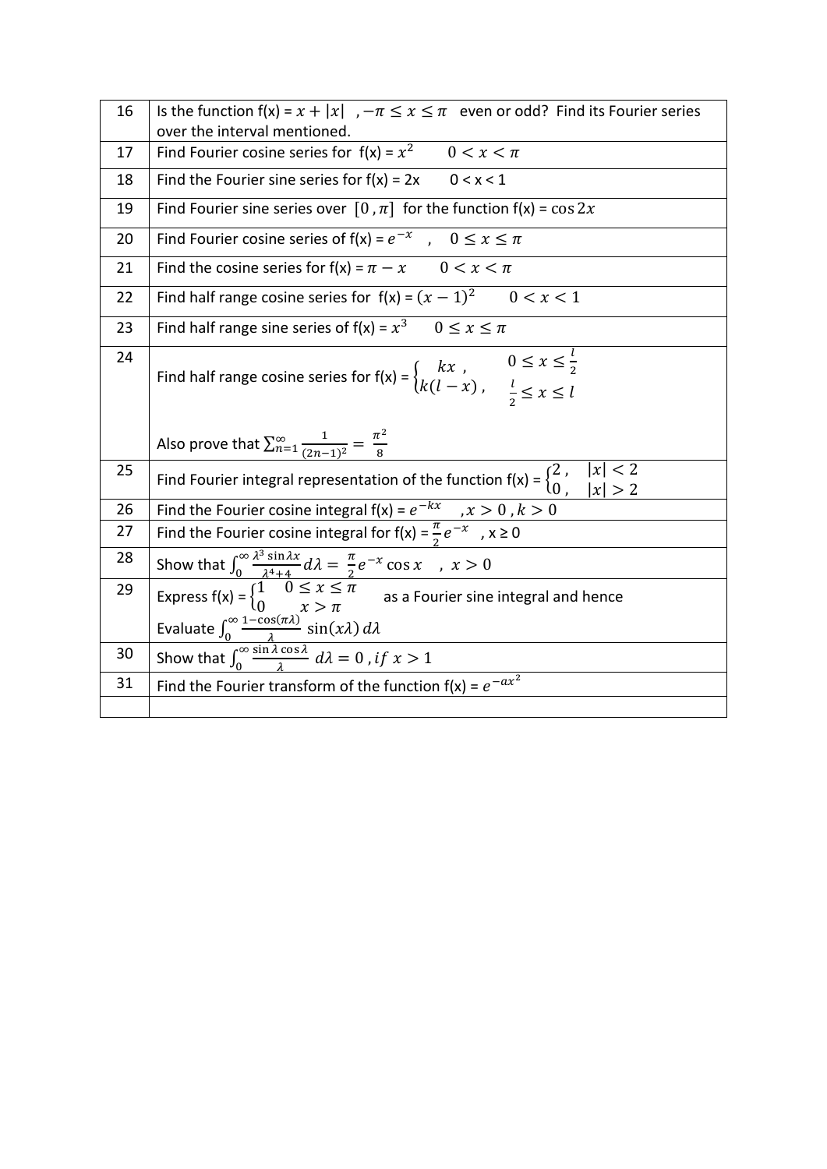| 16 | Is the function $f(x) = x +  x $ , $-\pi \le x \le \pi$ even or odd? Find its Fourier series<br>over the interval mentioned.                                                                                                                    |
|----|-------------------------------------------------------------------------------------------------------------------------------------------------------------------------------------------------------------------------------------------------|
| 17 | Find Fourier cosine series for $f(x) = x^2$ 0 < $x < \pi$                                                                                                                                                                                       |
| 18 | Find the Fourier sine series for $f(x) = 2x$ 0 < x < 1                                                                                                                                                                                          |
| 19 | Find Fourier sine series over $[0, \pi]$ for the function $f(x) = \cos 2x$                                                                                                                                                                      |
| 20 | Find Fourier cosine series of $f(x) = e^{-x}$ , $0 \le x \le \pi$                                                                                                                                                                               |
| 21 | Find the cosine series for $f(x) = \pi - x$ 0 < $x < \pi$                                                                                                                                                                                       |
| 22 | Find half range cosine series for $f(x) = (x - 1)^2$ $0 < x < 1$                                                                                                                                                                                |
| 23 | Find half range sine series of $f(x) = x^3$ $0 \le x \le \pi$                                                                                                                                                                                   |
| 24 | Find half range cosine series for $f(x) = \begin{cases} kx, & 0 \le x \le \frac{l}{2} \\ k(l-x), & \frac{l}{2} \le x \le l \end{cases}$                                                                                                         |
|    | Also prove that $\sum_{n=1}^{\infty} \frac{1}{(2n-1)^2} = \frac{\pi^2}{8}$                                                                                                                                                                      |
| 25 | Find Fourier integral representation of the function $f(x) = \begin{cases} 2 \\ 0 \end{cases}$ , $ x  < 2$                                                                                                                                      |
| 26 | Find the Fourier cosine integral $f(x) = e^{-kx}$ , $x > 0$ , $k > 0$                                                                                                                                                                           |
| 27 | Find the Fourier cosine integral for $f(x) = \frac{\pi}{2}e^{-x}$ , $x \ge 0$                                                                                                                                                                   |
| 28 |                                                                                                                                                                                                                                                 |
| 29 | Show that $\int_0^\infty \frac{\lambda^3 \sin \lambda x}{\lambda^4 + 4} d\lambda = \frac{\pi}{2} e^{-x} \cos x$ , $x > 0$<br>Express $f(x) = \begin{cases} 1 & 0 \le x \le \pi \\ 0 & x > \pi \end{cases}$ as a Fourier sine integral and hence |
|    | Evaluate $\int_0^\infty \frac{1-\cos(\pi\lambda)}{\lambda} \sin(x\lambda) d\lambda$                                                                                                                                                             |
| 30 | Show that $\int_0^\infty \frac{\sin \lambda \cos \lambda}{\lambda} d\lambda = 0$ , if $x > 1$                                                                                                                                                   |
| 31 | Find the Fourier transform of the function $f(x) = e^{-ax^2}$                                                                                                                                                                                   |
|    |                                                                                                                                                                                                                                                 |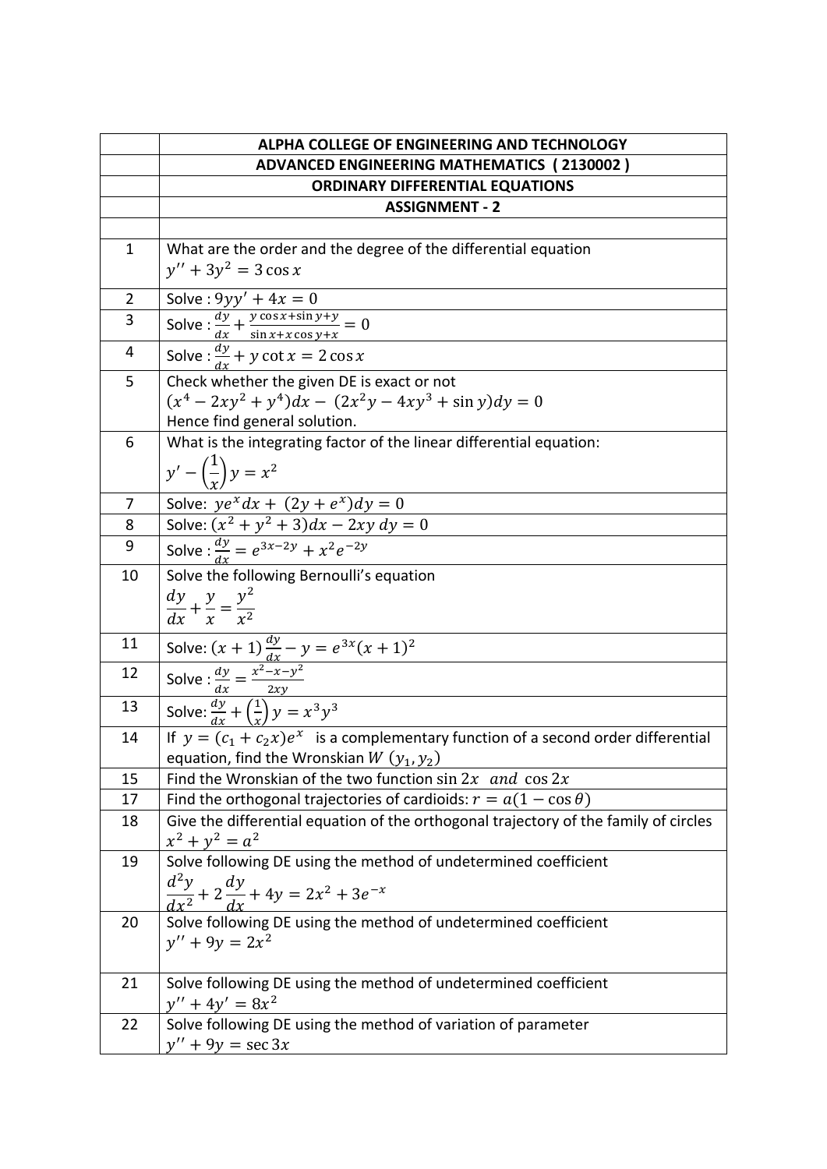|                | ALPHA COLLEGE OF ENGINEERING AND TECHNOLOGY                                                                                                                     |
|----------------|-----------------------------------------------------------------------------------------------------------------------------------------------------------------|
|                | <b>ADVANCED ENGINEERING MATHEMATICS (2130002)</b>                                                                                                               |
|                | <b>ORDINARY DIFFERENTIAL EQUATIONS</b>                                                                                                                          |
|                | <b>ASSIGNMENT - 2</b>                                                                                                                                           |
|                |                                                                                                                                                                 |
| $\mathbf 1$    | What are the order and the degree of the differential equation                                                                                                  |
|                | $y'' + 3y^2 = 3 \cos x$                                                                                                                                         |
| $\overline{2}$ | Solve: $9yy' + 4x = 0$                                                                                                                                          |
| 3              |                                                                                                                                                                 |
|                | Solve : $\frac{dy}{dx} + \frac{y \cos x + \sin y + y}{\sin x + x \cos y + x} = 0$                                                                               |
| 4              | Solve: $\frac{dy}{dx} + y \cot x = 2 \cos x$                                                                                                                    |
| 5              | Check whether the given DE is exact or not                                                                                                                      |
|                | $(x^4 - 2xy^2 + y^4)dx - (2x^2y - 4xy^3 + \sin y)dy = 0$                                                                                                        |
|                | Hence find general solution.                                                                                                                                    |
| 6              | What is the integrating factor of the linear differential equation:                                                                                             |
|                | $y' - \left(\frac{1}{x}\right)y = x^2$                                                                                                                          |
|                |                                                                                                                                                                 |
| 7              | Solve: $ye^{x}dx + (2y + e^{x})dy = 0$<br>Solve: $(x^{2} + y^{2} + 3)dx - 2xy dy = 0$                                                                           |
| 8              |                                                                                                                                                                 |
| 9              | Solve: $\frac{dy}{dx} = e^{3x-2y} + x^2 e^{-2y}$                                                                                                                |
| 10             | Solve the following Bernoulli's equation                                                                                                                        |
|                | $\frac{dy}{dx} + \frac{y}{x} = \frac{y^2}{x^2}$                                                                                                                 |
|                |                                                                                                                                                                 |
| 11             | Solve: $(x + 1) \frac{dy}{dx} - y = e^{3x}(x + 1)^2$<br>Solve : $\frac{dy}{dx} = \frac{x^2 - x - y^2}{2xy}$<br>Solve: $\frac{dy}{dx} + (\frac{1}{x})y = x^3y^3$ |
| 12             |                                                                                                                                                                 |
|                |                                                                                                                                                                 |
| 13             |                                                                                                                                                                 |
| 14             | If $y = (c_1 + c_2 x)e^x$ is a complementary function of a second order differential                                                                            |
|                | equation, find the Wronskian $W(y_1, y_2)$                                                                                                                      |
| 15             | Find the Wronskian of the two function $\sin 2x$ and $\cos 2x$                                                                                                  |
| 17             | Find the orthogonal trajectories of cardioids: $r = a(1 - \cos \theta)$                                                                                         |
| 18             | Give the differential equation of the orthogonal trajectory of the family of circles                                                                            |
|                | $x^2 + y^2 = a^2$                                                                                                                                               |
| 19             | Solve following DE using the method of undetermined coefficient                                                                                                 |
|                | $\frac{d^2y}{dx^2} + 2\frac{dy}{dx} + 4y = 2x^2 + 3e^{-x}$                                                                                                      |
| 20             | Solve following DE using the method of undetermined coefficient                                                                                                 |
|                | $y'' + 9y = 2x^2$                                                                                                                                               |
|                |                                                                                                                                                                 |
| 21             | Solve following DE using the method of undetermined coefficient                                                                                                 |
|                | $y'' + 4y' = 8x^2$                                                                                                                                              |
| 22             | Solve following DE using the method of variation of parameter                                                                                                   |
|                | $y'' + 9y = \sec 3x$                                                                                                                                            |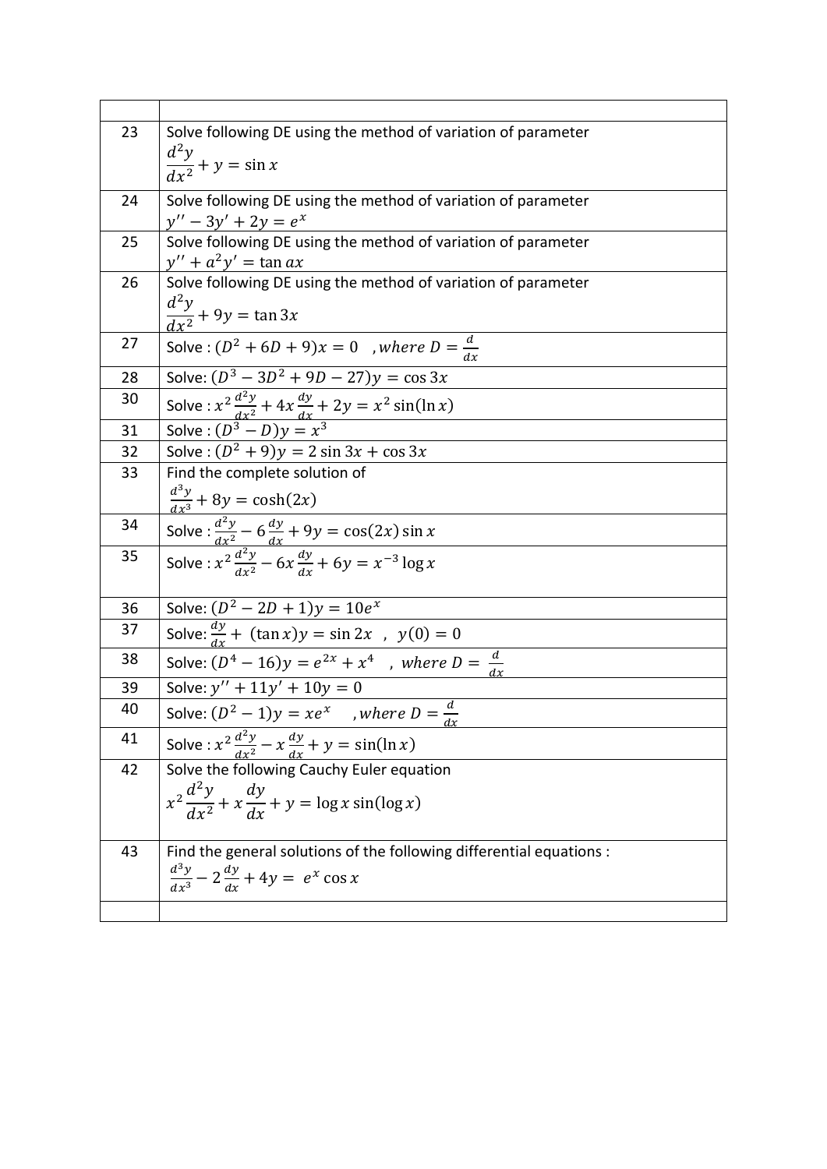| 23 | Solve following DE using the method of variation of parameter                                           |
|----|---------------------------------------------------------------------------------------------------------|
|    | $\frac{d^2y}{dx^2} + y = \sin x$                                                                        |
|    |                                                                                                         |
| 24 | Solve following DE using the method of variation of parameter                                           |
|    | $y'' - 3y' + 2y = e^x$                                                                                  |
| 25 | Solve following DE using the method of variation of parameter                                           |
| 26 | $y'' + a^2y' = \tan ax$<br>Solve following DE using the method of variation of parameter                |
|    |                                                                                                         |
|    | $\frac{d^2y}{dx^2} + 9y = \tan 3x$                                                                      |
| 27 | Solve: $(D^2 + 6D + 9)x = 0$ , where $D = \frac{d}{dx}$                                                 |
| 28 | Solve: $(D^3 - 3D^2 + 9D - 27)y = \cos 3x$                                                              |
| 30 |                                                                                                         |
| 31 | Solve : $x^2 \frac{d^2y}{dx^2} + 4x \frac{dy}{dx} + 2y = x^2 \sin(\ln x)$<br>Solve : $(D^3 - D)y = x^3$ |
| 32 | Solve: $(D^2 + 9)y = 2 \sin 3x + \cos 3x$                                                               |
| 33 | Find the complete solution of                                                                           |
|    | $\frac{d^3y}{dx^3} + 8y = \cosh(2x)$                                                                    |
| 34 | Solve : $\frac{d^2y}{dx^2}$ – 6 $\frac{dy}{dx}$ + 9y = cos(2x) sin x                                    |
| 35 | Solve: $x^2 \frac{d^2y}{dx^2} - 6x \frac{dy}{dx} + 6y = x^{-3} \log x$                                  |
|    |                                                                                                         |
| 36 | Solve: $(\overline{D^2 - 2D + 1)y} = 10e^x$                                                             |
| 37 | Solve: $\frac{dy}{dx}$ + $(\tan x)y = \sin 2x$ , $y(0) = 0$                                             |
| 38 | Solve: $(D^4 - 16)y = e^{2x} + x^4$ , where $D = \frac{d}{dx}$                                          |
| 39 | Solve: $y'' + 11y' + 10y = 0$                                                                           |
| 40 | Solve: $(D^2 - 1)y = xe^x$ , where $D = \frac{d}{dx}$                                                   |
| 41 | Solve : $x^2 \frac{d^2y}{dx^2} - x \frac{dy}{dx} + y = \sin(\ln x)$                                     |
| 42 | Solve the following Cauchy Euler equation                                                               |
|    | $x^2 \frac{d^2y}{dx^2} + x \frac{dy}{dx} + y = \log x \sin(\log x)$                                     |
|    |                                                                                                         |
| 43 | Find the general solutions of the following differential equations :                                    |
|    |                                                                                                         |
|    | $\frac{d^3y}{dx^3} - 2\frac{dy}{dx} + 4y = e^x \cos x$                                                  |
|    |                                                                                                         |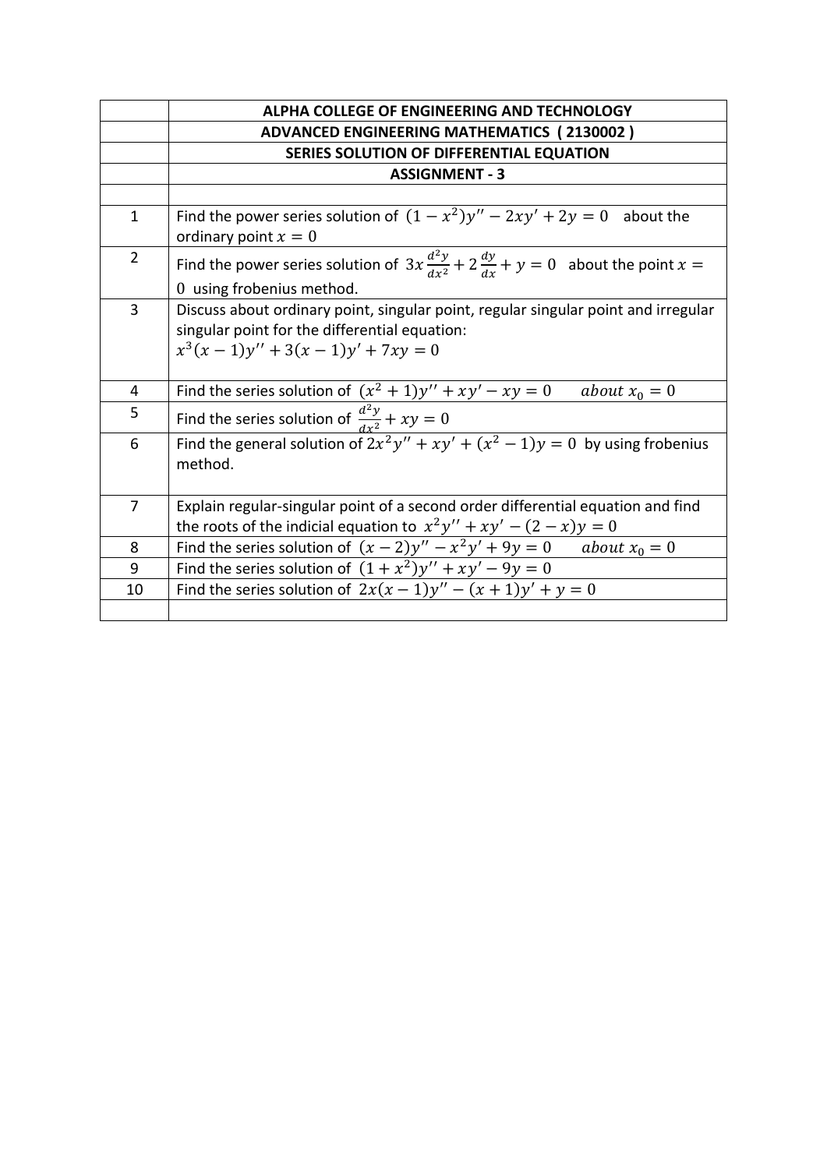|                | ALPHA COLLEGE OF ENGINEERING AND TECHNOLOGY                                                                                                                               |
|----------------|---------------------------------------------------------------------------------------------------------------------------------------------------------------------------|
|                | <b>ADVANCED ENGINEERING MATHEMATICS (2130002)</b>                                                                                                                         |
|                | SERIES SOLUTION OF DIFFERENTIAL EQUATION                                                                                                                                  |
|                | <b>ASSIGNMENT - 3</b>                                                                                                                                                     |
|                |                                                                                                                                                                           |
| $\mathbf{1}$   | Find the power series solution of $(1 - x^2)y'' - 2xy' + 2y = 0$ about the<br>ordinary point $x=0$                                                                        |
| $\overline{2}$ | Find the power series solution of $3x \frac{d^2y}{dx^2} + 2 \frac{dy}{dx} + y = 0$ about the point $x =$<br>0 using frobenius method.                                     |
| 3              | Discuss about ordinary point, singular point, regular singular point and irregular<br>singular point for the differential equation:<br>$x^3(x-1)y'' + 3(x-1)y' + 7xy = 0$ |
| 4              | Find the series solution of $(x^2 + 1)y'' + xy' - xy = 0$ about $x_0 = 0$                                                                                                 |
| 5              | Find the series solution of $\frac{d^2y}{dx^2} + xy = 0$                                                                                                                  |
| 6              | Find the general solution of $2x^2y'' + xy' + (x^2 - 1)y = 0$ by using frobenius<br>method.                                                                               |
| $\overline{7}$ | Explain regular-singular point of a second order differential equation and find<br>the roots of the indicial equation to $x^2y'' + xy' - (2 - x)y = 0$                    |
| 8              | Find the series solution of $(x - 2)y'' - x^2y' + 9y = 0$ about $x_0 = 0$                                                                                                 |
| 9              | Find the series solution of $(1 + x^2)y'' + xy' - 9y = 0$                                                                                                                 |
| 10             | Find the series solution of $2x(x-1)y''-(x+1)y' + y = 0$                                                                                                                  |
|                |                                                                                                                                                                           |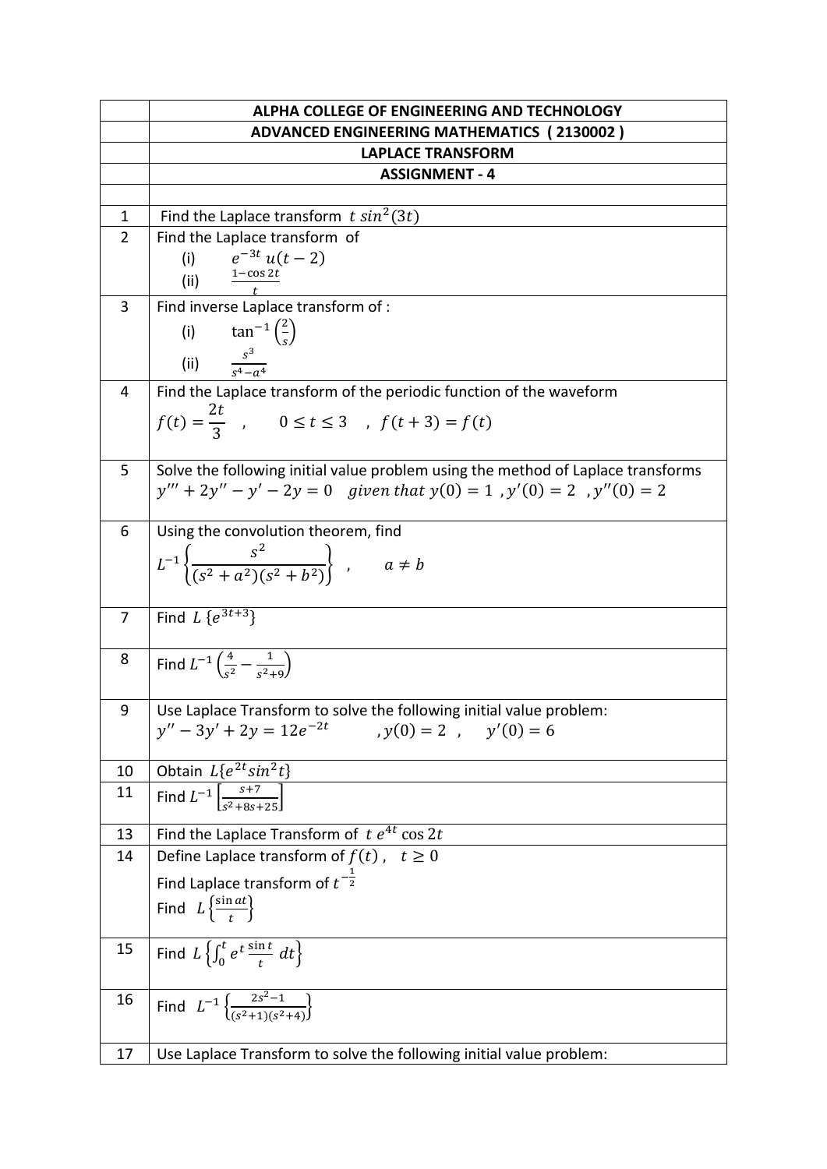|                | ALPHA COLLEGE OF ENGINEERING AND TECHNOLOGY                                      |
|----------------|----------------------------------------------------------------------------------|
|                | <b>ADVANCED ENGINEERING MATHEMATICS (2130002)</b>                                |
|                | <b>LAPLACE TRANSFORM</b>                                                         |
|                | <b>ASSIGNMENT - 4</b>                                                            |
|                |                                                                                  |
| $\mathbf{1}$   | Find the Laplace transform $t \sin^2(3t)$                                        |
| $\overline{2}$ | Find the Laplace transform of                                                    |
|                | $e^{-3t} u(t-2)$<br>(i)                                                          |
|                | (ii)                                                                             |
| 3              | Find inverse Laplace transform of :                                              |
|                |                                                                                  |
|                |                                                                                  |
|                | (i) $\tan^{-1}\left(\frac{2}{s}\right)$<br>(ii) $\frac{s^3}{s^4 - a^4}$          |
| 4              | Find the Laplace transform of the periodic function of the waveform              |
|                |                                                                                  |
|                | $f(t) = \frac{2t}{3}$ , $0 \le t \le 3$ , $f(t+3) = f(t)$                        |
|                |                                                                                  |
| 5              | Solve the following initial value problem using the method of Laplace transforms |
|                | $y''' + 2y'' - y' - 2y = 0$ given that $y(0) = 1$ , $y'(0) = 2$ , $y''(0) = 2$   |
|                |                                                                                  |
| 6              | Using the convolution theorem, find                                              |
|                | $L^{-1}\left\{\frac{s^2}{(s^2+a^2)(s^2+b^2)}\right\}$ ,<br>$a \neq b$            |
|                |                                                                                  |
|                |                                                                                  |
| $\overline{7}$ | Find $L\{e^{3t+3}\}$                                                             |
|                |                                                                                  |
| 8              | Find $L^{-1} \left( \frac{4}{s^2} - \frac{1}{s^2+9} \right)$                     |
|                |                                                                                  |
| 9              | Use Laplace Transform to solve the following initial value problem:              |
|                | $y'' - 3y' + 2y = 12e^{-2t}$<br>$v(0) = 2$ , $v'(0) = 6$                         |
|                |                                                                                  |
| 10             | Obtain $L\{e^{2t}sin^2t\}$                                                       |
| 11             | Find $L^{-1}$ $\left[\frac{s+7}{s^2+8s+25}\right]$                               |
|                |                                                                                  |
| 13             | Find the Laplace Transform of $t e^{4t} \cos 2t$                                 |
| 14             | Define Laplace transform of $f(t)$ , $t \ge 0$                                   |
|                | Find Laplace transform of $t^{-\frac{1}{2}}$                                     |
|                | Find $L \left\{ \frac{\sin at}{t} \right\}$                                      |
|                |                                                                                  |
| 15             | Find $L\left\{\int_0^t e^t \frac{\sin t}{t} dt\right\}$                          |
|                |                                                                                  |
| 16             |                                                                                  |
|                | Find $L^{-1} \left\{ \frac{2s^2-1}{(s^2+1)(s^2+4)} \right\}$                     |
|                |                                                                                  |
| 17             | Use Laplace Transform to solve the following initial value problem:              |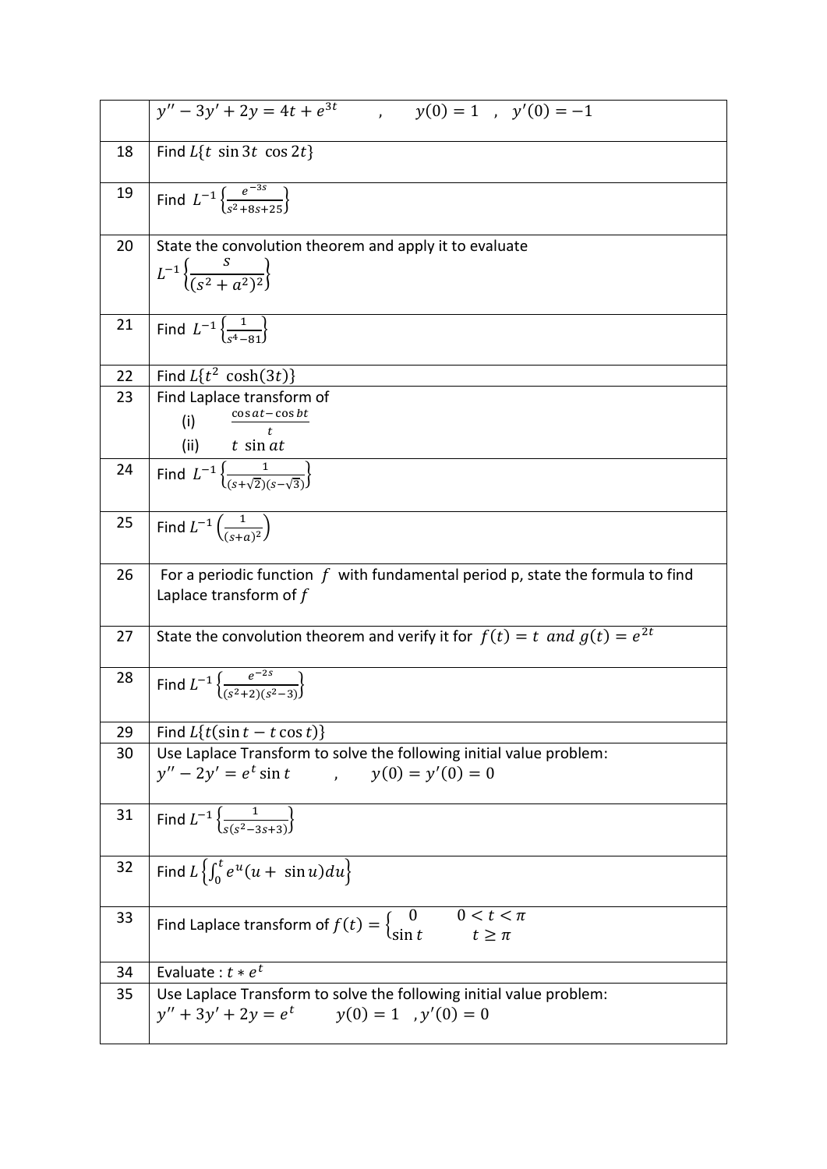|    | $y(0) = 1$ , $y'(0) = -1$<br>$y'' - 3y' + 2y = 4t + e^{3t}$                                                            |
|----|------------------------------------------------------------------------------------------------------------------------|
| 18 | Find $L\{t \sin 3t \cos 2t\}$                                                                                          |
| 19 | Find $L^{-1}\left\{\frac{e^{-3s}}{e^{2}+9e+2r}\right\}$                                                                |
| 20 | State the convolution theorem and apply it to evaluate<br>$L^{-1}\left\{\frac{S}{(s^2+a^2)^2}\right\}$                 |
| 21 | Find $L^{-1} \left\{ \frac{1}{s^4 - 81} \right\}$                                                                      |
| 22 | Find $L\{t^2 \cosh(3t)\}$                                                                                              |
| 23 | Find Laplace transform of<br>$\cos at - \cos bt$<br>(i)<br>$\ddot{}$<br>(ii) $t \sin at$                               |
| 24 | Find $L^{-1}\left\{\frac{1}{\sqrt{1-\frac{1}{2}(\sigma+\sqrt{2})}}\right\}$                                            |
| 25 | Find $L^{-1}\left(\frac{1}{(s+a)^2}\right)$                                                                            |
| 26 | For a periodic function $f$ with fundamental period p, state the formula to find<br>Laplace transform of $f$           |
| 27 | State the convolution theorem and verify it for $f(t) = t$ and $g(t) = e^{2t}$                                         |
| 28 | Find $L^{-1} \left\{ \frac{e^{-2s}}{(s^2+2)(s^2-3)} \right\}$                                                          |
| 29 | Find $L\{t(\sin t - t \cos t)\}$                                                                                       |
| 30 | Use Laplace Transform to solve the following initial value problem:<br>$y'' - 2y' = e^t \sin t$ , $y(0) = y'(0) = 0$   |
| 31 | Find $L^{-1}\left\{\frac{1}{s(s^2-3s+3)}\right\}$                                                                      |
| 32 | Find $L\left\{\int_0^t e^u(u+\sin u)du\right\}$                                                                        |
| 33 | $0 < t < \pi$<br>Find Laplace transform of $f(t) = \begin{cases} 0 & 0 < t < t \\ \sin t & t \geq \pi \end{cases}$     |
| 34 | Evaluate: $t * e^t$                                                                                                    |
| 35 | Use Laplace Transform to solve the following initial value problem:<br>$y'' + 3y' + 2y = e^t$ $y(0) = 1$ , $y'(0) = 0$ |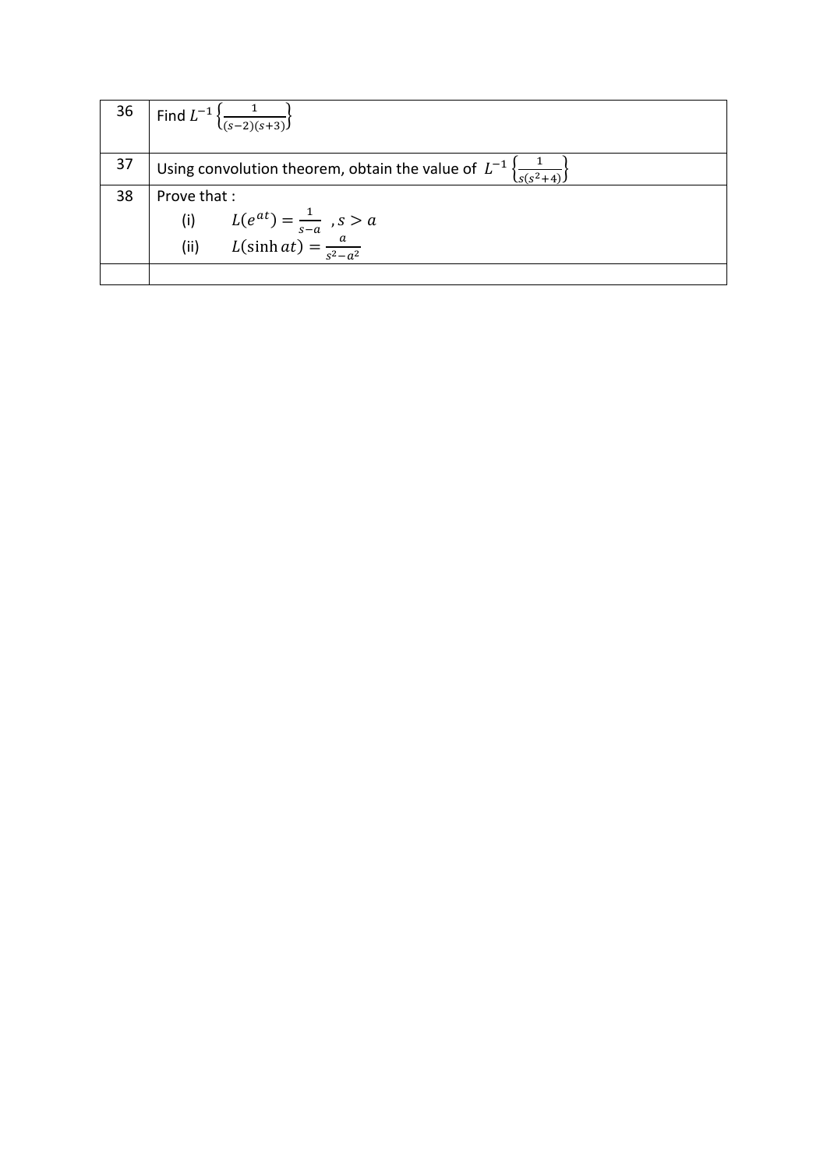| 36 | Find $L^{-1} \left\{ \frac{1}{(s-2)(s+3)} \right\}$                                                |
|----|----------------------------------------------------------------------------------------------------|
| 37 | Using convolution theorem, obtain the value of $L^{-1}\left\{\frac{1}{s(s^2+4)}\right\}$           |
| 38 | Prove that:<br>(i) $L(e^{at}) = \frac{1}{s-a}$ , $s > a$<br>(ii) $L(\sinh at) = \frac{a}{s^2-a^2}$ |
|    |                                                                                                    |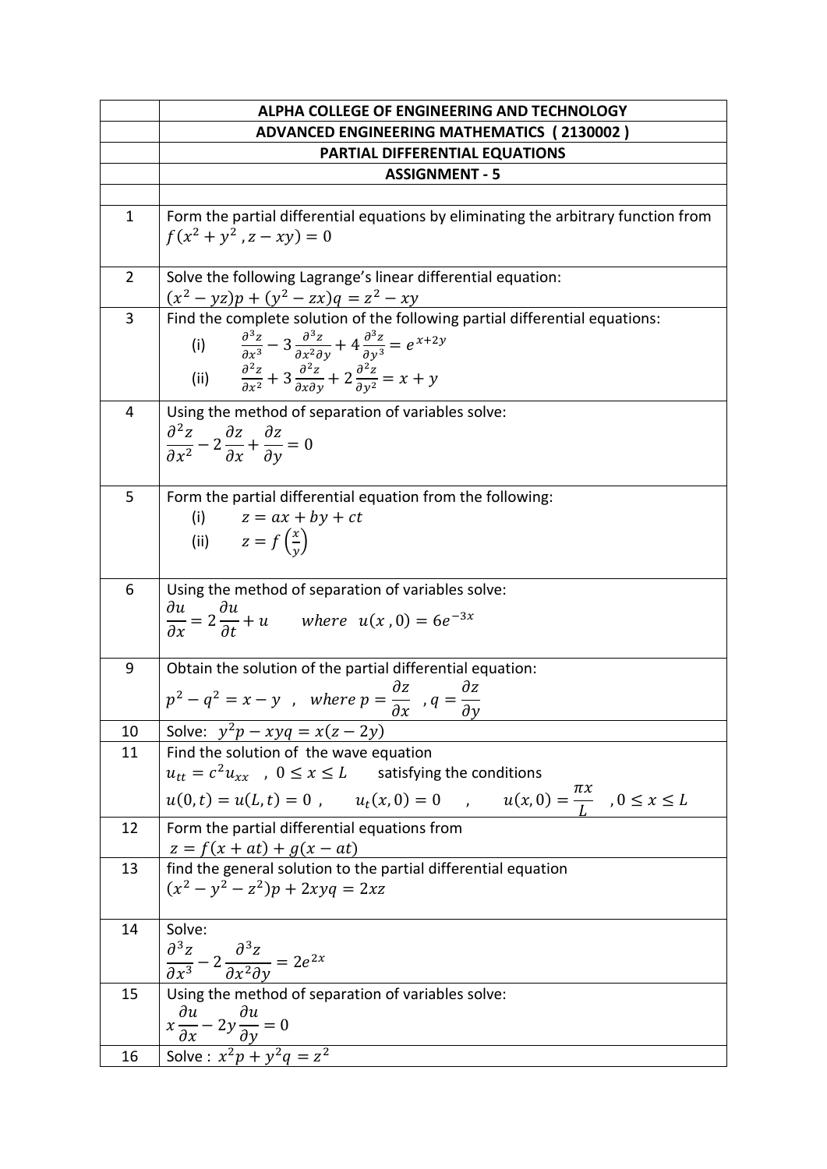|                | ALPHA COLLEGE OF ENGINEERING AND TECHNOLOGY                                                                                                                                                                                                                                                                                                                       |
|----------------|-------------------------------------------------------------------------------------------------------------------------------------------------------------------------------------------------------------------------------------------------------------------------------------------------------------------------------------------------------------------|
|                | <b>ADVANCED ENGINEERING MATHEMATICS (2130002)</b>                                                                                                                                                                                                                                                                                                                 |
|                | PARTIAL DIFFERENTIAL EQUATIONS                                                                                                                                                                                                                                                                                                                                    |
|                | <b>ASSIGNMENT - 5</b>                                                                                                                                                                                                                                                                                                                                             |
|                |                                                                                                                                                                                                                                                                                                                                                                   |
| $\mathbf{1}$   | Form the partial differential equations by eliminating the arbitrary function from<br>$f(x^2 + y^2, z - xy) = 0$                                                                                                                                                                                                                                                  |
| $\overline{2}$ | Solve the following Lagrange's linear differential equation:<br>$(x^{2} - yz)p + (y^{2} - zx)q = z^{2} - xy$                                                                                                                                                                                                                                                      |
| 3              | Find the complete solution of the following partial differential equations:<br>(i) $\frac{\partial^3 z}{\partial x^3} - 3 \frac{\partial^3 z}{\partial x^2 \partial y} + 4 \frac{\partial^3 z}{\partial y^3} = e^{x+2y}$<br>(ii) $\frac{\partial^2 z}{\partial x^2} + 3 \frac{\partial^2 z}{\partial x \partial y} + 2 \frac{\partial^2 z}{\partial y^2} = x + y$ |
| 4              | Using the method of separation of variables solve:<br>$\frac{\partial^2 z}{\partial x^2} - 2\frac{\partial z}{\partial x} + \frac{\partial z}{\partial y} = 0$                                                                                                                                                                                                    |
| 5              | Form the partial differential equation from the following:<br>(i) $z = ax + by + ct$<br>(ii) $z = f\left(\frac{x}{y}\right)$                                                                                                                                                                                                                                      |
| 6              | Using the method of separation of variables solve:<br>$\frac{\partial u}{\partial x} = 2 \frac{\partial u}{\partial t} + u$ where $u(x, 0) = 6e^{-3x}$                                                                                                                                                                                                            |
| 9              | Obtain the solution of the partial differential equation:<br>$p^2 - q^2 = x - y$ , where $p = \frac{\partial z}{\partial x}$ , $q = \frac{\partial z}{\partial y}$                                                                                                                                                                                                |
| 10             | Solve: $y^2p - xyq = x(z - 2y)$                                                                                                                                                                                                                                                                                                                                   |
| 11             | Find the solution of the wave equation<br>$u_{tt} = c^2 u_{xx}$ , $0 \le x \le L$ satisfying the conditions<br>$u(0,t) = u(L,t) = 0$ , $u_t(x,0) = 0$ , $u(x,0) = \frac{\pi x}{L}$ , $0 \le x \le L$                                                                                                                                                              |
| 12             | Form the partial differential equations from<br>$z = f(x + at) + g(x - at)$                                                                                                                                                                                                                                                                                       |
| 13             | find the general solution to the partial differential equation<br>$(x^{2} - y^{2} - z^{2})p + 2xyq = 2xz$                                                                                                                                                                                                                                                         |
| 14             | Solve:<br>$\frac{\partial^3 z}{\partial x^3} - 2 \frac{\partial^3 z}{\partial x^2 \partial y} = 2e^{2x}$                                                                                                                                                                                                                                                          |
| 15             | Using the method of separation of variables solve:<br>$\frac{x \frac{\partial u}{\partial x} - 2y \frac{\partial u}{\partial y} = 0}{Solve: x^2 p + y^2 q = z^2}$                                                                                                                                                                                                 |
| 16             |                                                                                                                                                                                                                                                                                                                                                                   |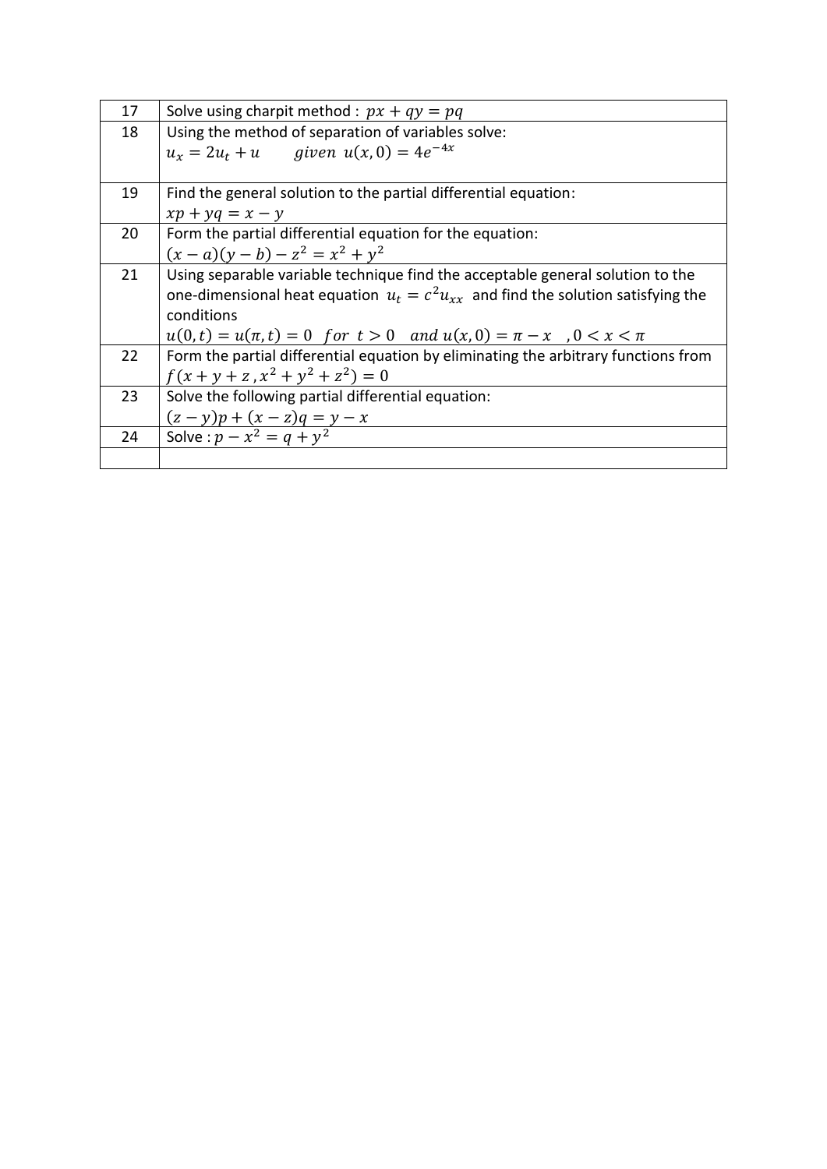| 17 | Solve using charpit method : $px + qy = pq$                                           |
|----|---------------------------------------------------------------------------------------|
| 18 | Using the method of separation of variables solve:                                    |
|    | $u_x = 2u_t + u$ given $u(x, 0) = 4e^{-4x}$                                           |
|    |                                                                                       |
| 19 | Find the general solution to the partial differential equation:                       |
|    | $xp + yq = x - y$                                                                     |
| 20 | Form the partial differential equation for the equation:                              |
|    | $(x-a)(y-b) - z^2 = x^2 + y^2$                                                        |
| 21 | Using separable variable technique find the acceptable general solution to the        |
|    | one-dimensional heat equation $u_t = c^2 u_{xx}$ and find the solution satisfying the |
|    | conditions                                                                            |
|    | $u(0,t) = u(\pi, t) = 0$ for $t > 0$ and $u(x, 0) = \pi - x$ , $0 < x < \pi$          |
| 22 | Form the partial differential equation by eliminating the arbitrary functions from    |
|    | $f(x + y + z, x^2 + y^2 + z^2) = 0$                                                   |
| 23 | Solve the following partial differential equation:                                    |
|    | $(z - y)p + (x - z)q = y - x$<br>Solve : $p - x^2 = q + y^2$                          |
| 24 |                                                                                       |
|    |                                                                                       |